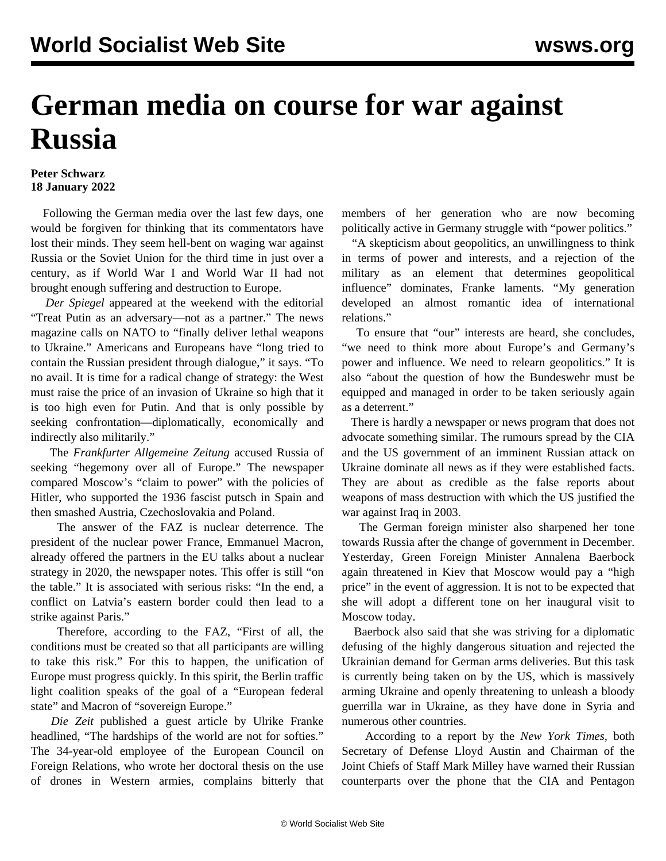## **German media on course for war against Russia**

## **Peter Schwarz 18 January 2022**

 Following the German media over the last few days, one would be forgiven for thinking that its commentators have lost their minds. They seem hell-bent on waging war against Russia or the Soviet Union for the third time in just over a century, as if World War I and World War II had not brought enough suffering and destruction to Europe.

 *Der Spiegel* appeared at the weekend with the editorial "Treat Putin as an adversary—not as a partner." The news magazine calls on NATO to "finally deliver lethal weapons to Ukraine." Americans and Europeans have "long tried to contain the Russian president through dialogue," it says. "To no avail. It is time for a radical change of strategy: the West must raise the price of an invasion of Ukraine so high that it is too high even for Putin. And that is only possible by seeking confrontation—diplomatically, economically and indirectly also militarily."

 The *Frankfurter Allgemeine Zeitung* accused Russia of seeking "hegemony over all of Europe." The newspaper compared Moscow's "claim to power" with the policies of Hitler, who supported the 1936 fascist putsch in Spain and then smashed Austria, Czechoslovakia and Poland.

 The answer of the FAZ is nuclear deterrence. The president of the nuclear power France, Emmanuel Macron, already offered the partners in the EU talks about a nuclear strategy in 2020, the newspaper notes. This offer is still "on the table." It is associated with serious risks: "In the end, a conflict on Latvia's eastern border could then lead to a strike against Paris."

 Therefore, according to the FAZ, "First of all, the conditions must be created so that all participants are willing to take this risk." For this to happen, the unification of Europe must progress quickly. In this spirit, the Berlin traffic light coalition speaks of the goal of a "European federal state" and Macron of "sovereign Europe."

 *Die Zeit* published a guest article by Ulrike Franke headlined, "The hardships of the world are not for softies." The 34-year-old employee of the European Council on Foreign Relations, who wrote her doctoral thesis on the use of drones in Western armies, complains bitterly that members of her generation who are now becoming politically active in Germany struggle with "power politics."

 "A skepticism about geopolitics, an unwillingness to think in terms of power and interests, and a rejection of the military as an element that determines geopolitical influence" dominates, Franke laments. "My generation developed an almost romantic idea of international relations."

 To ensure that "our" interests are heard, she concludes, "we need to think more about Europe's and Germany's power and influence. We need to relearn geopolitics." It is also "about the question of how the Bundeswehr must be equipped and managed in order to be taken seriously again as a deterrent."

 There is hardly a newspaper or news program that does not advocate something similar. The rumours spread by the CIA and the US government of an imminent Russian attack on Ukraine dominate all news as if they were established facts. They are about as credible as the false reports about weapons of mass destruction with which the US justified the war against Iraq in 2003.

 The German foreign minister also sharpened her tone towards Russia after the change of government in December. Yesterday, Green Foreign Minister Annalena Baerbock again threatened in Kiev that Moscow would pay a "high price" in the event of aggression. It is not to be expected that she will adopt a different tone on her inaugural visit to Moscow today.

 Baerbock also said that she was striving for a diplomatic defusing of the highly dangerous situation and rejected the Ukrainian demand for German arms deliveries. But this task is currently being taken on by the US, which is massively arming Ukraine and openly threatening to unleash a bloody guerrilla war in Ukraine, as they have done in Syria and numerous other countries.

 According to a report by the *New York Times,* both Secretary of Defense Lloyd Austin and Chairman of the Joint Chiefs of Staff Mark Milley have warned their Russian counterparts over the phone that the CIA and Pentagon